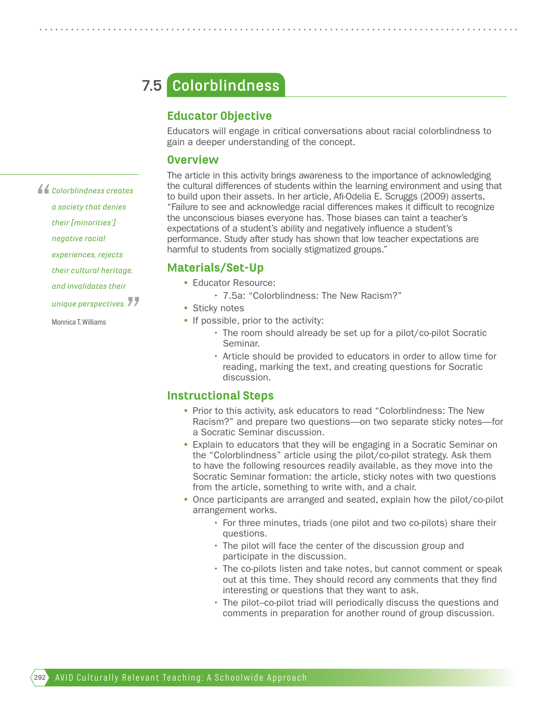# **Colorblindness 7.5**

## Educator Objective

Educators will engage in critical conversations about racial colorblindness to gain a deeper understanding of the concept.

#### **Overview**

The article in this activity brings awareness to the importance of acknowledging the cultural differences of students within the learning environment and using that to build upon their assets. In her article, Afi-Odelia E. Scruggs (2009) asserts, "Failure to see and acknowledge racial differences makes it difficult to recognize the unconscious biases everyone has. Those biases can taint a teacher's expectations of a student's ability and negatively influence a student's performance. Study after study has shown that low teacher expectations are harmful to students from socially stigmatized groups."

#### Materials/Set-Up

- Educator Resource:
	- 7.5a: "Colorblindness: The New Racism?"
- Sticky notes
- If possible, prior to the activity:
	- The room should already be set up for a pilot/co-pilot Socratic Seminar.
	- Article should be provided to educators in order to allow time for reading, marking the text, and creating questions for Socratic discussion.

### Instructional Steps

- Prior to this activity, ask educators to read "Colorblindness: The New Racism?" and prepare two questions—on two separate sticky notes—for a Socratic Seminar discussion.
- Explain to educators that they will be engaging in a Socratic Seminar on the "Colorblindness" article using the pilot/co-pilot strategy. Ask them to have the following resources readily available, as they move into the Socratic Seminar formation: the article, sticky notes with two questions from the article, something to write with, and a chair.
- Once participants are arranged and seated, explain how the pilot/co-pilot arrangement works.
	- For three minutes, triads (one pilot and two co-pilots) share their questions.
	- The pilot will face the center of the discussion group and participate in the discussion.
	- The co-pilots listen and take notes, but cannot comment or speak out at this time. They should record any comments that they find interesting or questions that they want to ask.
	- The pilot–co-pilot triad will periodically discuss the questions and comments in preparation for another round of group discussion.

*a society that denies their [minorities']*   $\sum_{i=1}^{n}$ 

*Colorblindness creates* 

*negative racial* 

- *experiences, rejects*
- *their cultural heritage,*
- *and invalidates their*
- *unique perspectives.* .<br>77

Monnica T. Williams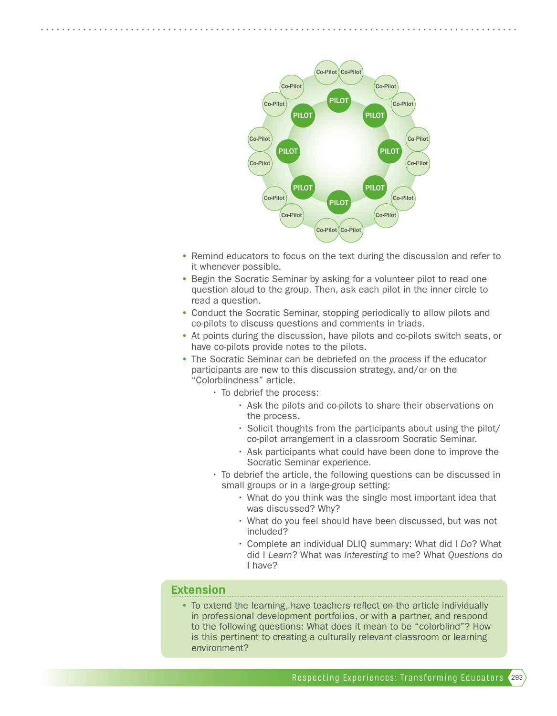

- Remind educators to focus on the text during the discussion and refer to it whenever possible.
- Begin the Socratic Seminar by asking for a volunteer pilot to read one question aloud to the group. Then, ask each pilot in the inner circle to read a question.
- Conduct the Socratic Seminar, stopping periodically to allow pilots and co-pilots to discuss questions and comments in triads.
- At points during the discussion, have pilots and co-pilots switch seats, or have co-pilots provide notes to the pilots.
- The Socratic Seminar can be debriefed on the *process* if the educator participants are new to this discussion strategy, and/or on the "Colorblindness" article.
	- To debrief the process:
		- Ask the pilots and co-pilots to share their observations on the process.
		- Solicit thoughts from the participants about using the pilot/ co-pilot arrangement in a classroom Socratic Seminar.
		- Ask participants what could have been done to improve the Socratic Seminar experience.
	- To debrief the article, the following questions can be discussed in small groups or in a large-group setting:
		- What do you think was the single most important idea that was discussed? Why?
		- What do you feel should have been discussed, but was not included?
		- Complete an individual DLIQ summary: What did I *Do*? What did I *Learn*? What was *Interesting* to me? What *Questions* do I have?

#### Extension

• To extend the learning, have teachers reflect on the article individually in professional development portfolios, or with a partner, and respond to the following questions: What does it mean to be "colorblind"? How is this pertinent to creating a culturally relevant classroom or learning environment?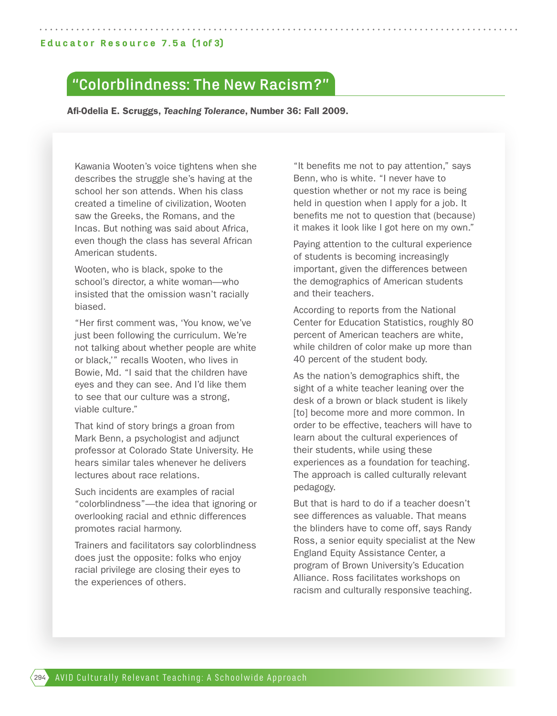# **"Colorblindness: The New Racism?"**

Afi-Odelia E. Scruggs, *Teaching Tolerance*, Number 36: Fall 2009.

Kawania Wooten's voice tightens when she describes the struggle she's having at the school her son attends. When his class created a timeline of civilization, Wooten saw the Greeks, the Romans, and the Incas. But nothing was said about Africa, even though the class has several African American students.

Wooten, who is black, spoke to the school's director, a white woman—who insisted that the omission wasn't racially biased.

"Her first comment was, 'You know, we've just been following the curriculum. We're not talking about whether people are white or black,'" recalls Wooten, who lives in Bowie, Md. "I said that the children have eyes and they can see. And I'd like them to see that our culture was a strong, viable culture."

That kind of story brings a groan from Mark Benn, a psychologist and adjunct professor at Colorado State University. He hears similar tales whenever he delivers lectures about race relations.

Such incidents are examples of racial "colorblindness"—the idea that ignoring or overlooking racial and ethnic differences promotes racial harmony.

Trainers and facilitators say colorblindness does just the opposite: folks who enjoy racial privilege are closing their eyes to the experiences of others.

"It benefits me not to pay attention," says Benn, who is white. "I never have to question whether or not my race is being held in question when I apply for a job. It benefits me not to question that (because) it makes it look like I got here on my own."

Paying attention to the cultural experience of students is becoming increasingly important, given the differences between the demographics of American students and their teachers.

According to reports from the National Center for Education Statistics, roughly 80 percent of American teachers are white, while children of color make up more than 40 percent of the student body.

As the nation's demographics shift, the sight of a white teacher leaning over the desk of a brown or black student is likely [to] become more and more common. In order to be effective, teachers will have to learn about the cultural experiences of their students, while using these experiences as a foundation for teaching. The approach is called culturally relevant pedagogy.

But that is hard to do if a teacher doesn't see differences as valuable. That means the blinders have to come off, says Randy Ross, a senior equity specialist at the New England Equity Assistance Center, a program of Brown University's Education Alliance. Ross facilitates workshops on racism and culturally responsive teaching.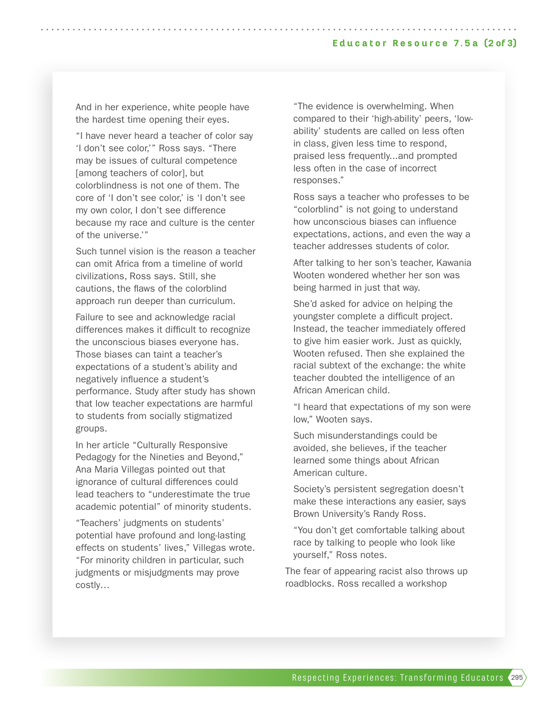And in her experience, white people have the hardest time opening their eyes.

"I have never heard a teacher of color say 'I don't see color,'" Ross says. "There may be issues of cultural competence [among teachers of color], but colorblindness is not one of them. The core of 'I don't see color,' is 'I don't see my own color, I don't see difference because my race and culture is the center of the universe.'"

Such tunnel vision is the reason a teacher can omit Africa from a timeline of world civilizations, Ross says. Still, she cautions, the flaws of the colorblind approach run deeper than curriculum.

Failure to see and acknowledge racial differences makes it difficult to recognize the unconscious biases everyone has. Those biases can taint a teacher's expectations of a student's ability and negatively influence a student's performance. Study after study has shown that low teacher expectations are harmful to students from socially stigmatized groups.

In her article "Culturally Responsive Pedagogy for the Nineties and Beyond," Ana Maria Villegas pointed out that ignorance of cultural differences could lead teachers to "underestimate the true academic potential" of minority students.

"Teachers' judgments on students' potential have profound and long-lasting effects on students' lives," Villegas wrote. "For minority children in particular, such judgments or misjudgments may prove costly…

"The evidence is overwhelming. When compared to their 'high-ability' peers, 'lowability' students are called on less often in class, given less time to respond, praised less frequently...and prompted less often in the case of incorrect responses."

Ross says a teacher who professes to be "colorblind" is not going to understand how unconscious biases can influence expectations, actions, and even the way a teacher addresses students of color.

After talking to her son's teacher, Kawania Wooten wondered whether her son was being harmed in just that way.

She'd asked for advice on helping the youngster complete a difficult project. Instead, the teacher immediately offered to give him easier work. Just as quickly, Wooten refused. Then she explained the racial subtext of the exchange: the white teacher doubted the intelligence of an African American child.

"I heard that expectations of my son were low," Wooten says.

Such misunderstandings could be avoided, she believes, if the teacher learned some things about African American culture.

Society's persistent segregation doesn't make these interactions any easier, says Brown University's Randy Ross.

"You don't get comfortable talking about race by talking to people who look like yourself," Ross notes.

The fear of appearing racist also throws up roadblocks. Ross recalled a workshop